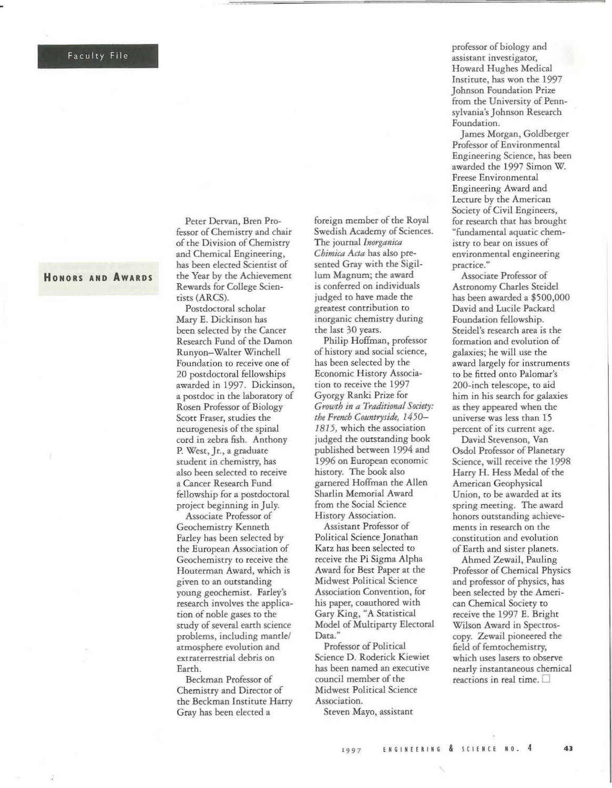## Faculty File

HONORS AND AWARDS

Peter Dervan, Bren Professor of Chemistry and chair of the Division of Chemistry and Chemical Engineering, has been elecced Scientisc of the Year by the Achievement Rewards for College Scienciscs (ARCS).

Postdoctoral scholar Mary E. Dickinson has been selected by the Cancer Research Fund of the Damon Runyon-Walcer Winchell Foundation to receive one of 20 postdoctoral fellowships awarded in 1997. Dickinson, a postdoc in the laboratory of Rosen Professor of Biology ScOtt Fraser, studies the neurogenesis of the spinal cord in zebra fish. Anthony P. West, Jr., a graduate student in chemistry, has also been selected to receive a Cancer Research Fund fellowship for a postdoctoral projecc beginning in July.

Associate Professor of Geochemistry Kenneth Farley has been selecced by the European Association of Geochemistry to receive the Houterman Award, which is given to an outstanding young geochemist. Farley's research involves the application of noble gases to the study of several earth science problems, including mantle/ atmosphere evolution and extraterrestrial debris on Earth.

Beckman Professor of Chemistry and Director of the Beckman Institute Harry Gray has been elecced a

foreign member of the Royal Swedish Academy of Sciences. The journal *lnorganica Chimica Acta* has also presented Gray with the Sigillum Magnum; the award is conferred on individuals judged co bave made che g reatest contribution to inorganic chemistry during the last 30 years.

Philip Hoffman. professor of history and social science, has been selecced by che Economic History Association to receive the 1997 Gyorgy Ranki Prize for *Gruwth in a Traditional Society:*  the French Countryside, 1450-1815, which the association judged the outstanding book published berween 1994 and 1996 on European economic hiscory. The book also garnered Hoffman the Allen Sharlin Memorial Award from the Social Science History Association.

Assistant Professor of Political Science Jonathan Katz has been selected to receive the Pi Sigma Alpha Award for Best Paper at the Midwest Political Science Association Convention, for his paper, coauthored with Gary King, "A Statistical Model of Multiparty Electoral Data."

Professor of Political Science D. Roderick Kiewiet has been named an executive council member of the Midwest Political Science Association.

Steven Mayo, assistant

professor of biology and assisrant investigaror, Howard Hughes Medical Inscirute. has won the 1997 Johnson Foundation Prize from the University of Pennsylvania's Johnson Research Foundation.

James Morgan, Goldberger Professor of Environmental Engineering Science, has been awarded che 1997 Simon W. Freese Environmental Engineering Award and Lecture by the American Society of Civil Engineers, for research thar has brought "fundamental aquatic chemistry ro bear on issues of environmental engineering practice."

Associate Professor of Astronomy Charles Sreidel has been awarded a \$500,000 David and Lucile Packard Foundation fellowship. Steidel's research area is the formation and evolution of galaxies; he will use the award largely for instruments to be fitted onto Palomar's 200-inch telescope, to aid bim in his search for galaxies as chey appeared when rhe universe was less than 15 percent of its current age.

David Stevenson, Van Osdol Professor of Planetary Science, will receive the 1998 Harry H. Hess Medal of che American Geophysical Union. to be awarded at its spring meeting. The award honors outstanding achievements in research on the constitution and evolution of Earch and sister planets.

Ahmed Zewail. Pauling Professor of Chemical Physics and professor of physics, has been selected by the American Chemical Society to receive the 1997 E. Brighc Wilson Award in Spectroscopy. Zewail pioneered the field of femtochemistry, which uses lasers to observe nearly instantaneous chemical reactions in real time.  $\square$